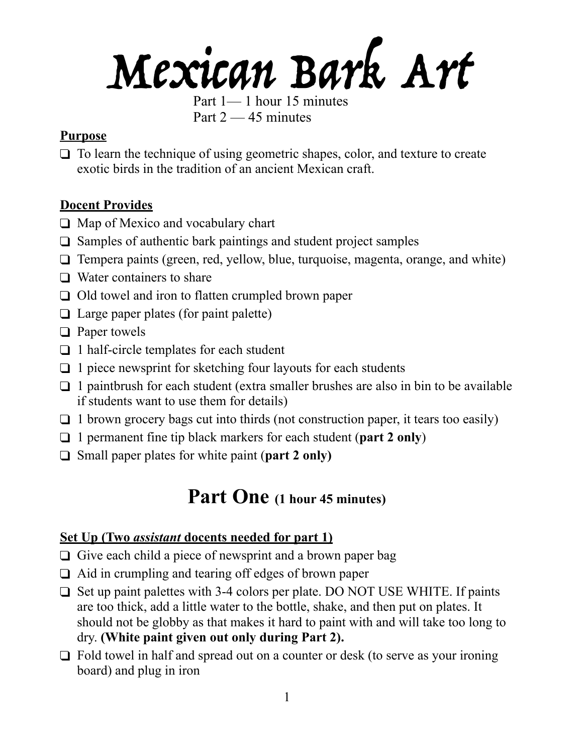# Mexican Bark Art

Part 1— 1 hour 15 minutes Part  $2 - 45$  minutes

# **Purpose**

❑ To learn the technique of using geometric shapes, color, and texture to create exotic birds in the tradition of an ancient Mexican craft.

# **Docent Provides**

- ❑ Map of Mexico and vocabulary chart
- ❑ Samples of authentic bark paintings and student project samples
- ❑ Tempera paints (green, red, yellow, blue, turquoise, magenta, orange, and white)
- ❑ Water containers to share
- ❑ Old towel and iron to flatten crumpled brown paper
- ❑ Large paper plates (for paint palette)
- ❑ Paper towels
- ❑ 1 half-circle templates for each student
- $\Box$  1 piece newsprint for sketching four layouts for each students
- $\Box$  1 paintbrush for each student (extra smaller brushes are also in bin to be available if students want to use them for details)
- $\Box$  1 brown grocery bags cut into thirds (not construction paper, it tears too easily)
- ❑ 1 permanent fine tip black markers for each student (**part 2 only**)
- ❑ Small paper plates for white paint (**part 2 only)**

# **Part One (1 hour 45 minutes)**

# **Set Up (Two** *assistant* **docents needed for part 1)**

- ❑ Give each child a piece of newsprint and a brown paper bag
- ❑ Aid in crumpling and tearing off edges of brown paper
- ❑ Set up paint palettes with 3-4 colors per plate. DO NOT USE WHITE. If paints are too thick, add a little water to the bottle, shake, and then put on plates. It should not be globby as that makes it hard to paint with and will take too long to dry. **(White paint given out only during Part 2).**
- ❑ Fold towel in half and spread out on a counter or desk (to serve as your ironing board) and plug in iron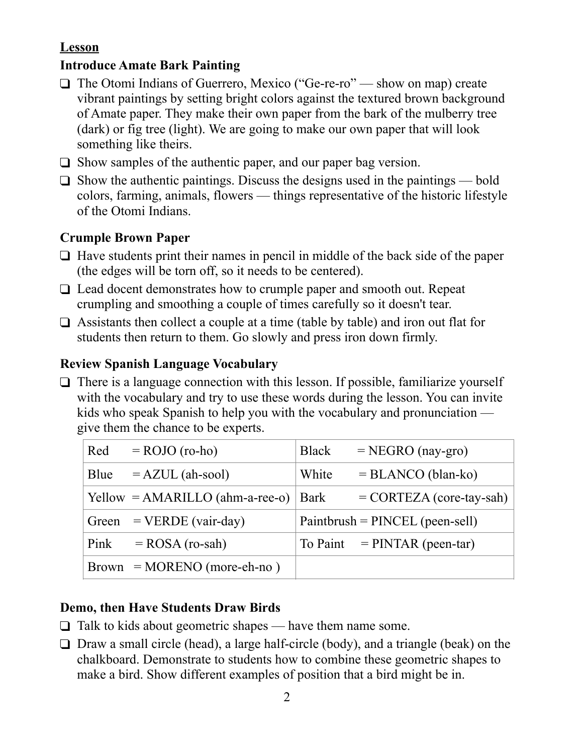# **Lesson**

#### **Introduce Amate Bark Painting**

- ❑ The Otomi Indians of Guerrero, Mexico ("Ge-re-ro" show on map) create vibrant paintings by setting bright colors against the textured brown background of Amate paper. They make their own paper from the bark of the mulberry tree (dark) or fig tree (light). We are going to make our own paper that will look something like theirs.
- ❑ Show samples of the authentic paper, and our paper bag version.
- $\Box$  Show the authentic paintings. Discuss the designs used in the paintings bold colors, farming, animals, flowers — things representative of the historic lifestyle of the Otomi Indians.

#### **Crumple Brown Paper**

- ❑ Have students print their names in pencil in middle of the back side of the paper (the edges will be torn off, so it needs to be centered).
- ❑ Lead docent demonstrates how to crumple paper and smooth out. Repeat crumpling and smoothing a couple of times carefully so it doesn't tear.
- ❑ Assistants then collect a couple at a time (table by table) and iron out flat for students then return to them. Go slowly and press iron down firmly.

#### **Review Spanish Language Vocabulary**

 $\Box$  There is a language connection with this lesson. If possible, familiarize yourself with the vocabulary and try to use these words during the lesson. You can invite kids who speak Spanish to help you with the vocabulary and pronunciation give them the chance to be experts.

| Red   | $=$ ROJO (ro-ho)                                       | <b>Black</b> | $=$ NEGRO (nay-gro)               |
|-------|--------------------------------------------------------|--------------|-----------------------------------|
| Blue  | $=$ AZUL (ah-sool)                                     | White        | $= BLANCO (blan-ko)$              |
|       | $\text{Yellow} = \text{AMARILLO} (\text{ahm-a-ree-o})$ | Bark         | $=$ CORTEZA (core-tay-sah)        |
| Green | $=$ VERDE (vair-day)                                   |              | $Paintbrush = PINCEL (peen-sell)$ |
| Pink  | $=$ ROSA (ro-sah)                                      |              | To Paint $=$ PINTAR (peen-tar)    |
|       | $Brown = MORENO (more-eh-no)$                          |              |                                   |

# **Demo, then Have Students Draw Birds**

- $\Box$  Talk to kids about geometric shapes have them name some.
- ❑ Draw a small circle (head), a large half-circle (body), and a triangle (beak) on the chalkboard. Demonstrate to students how to combine these geometric shapes to make a bird. Show different examples of position that a bird might be in.